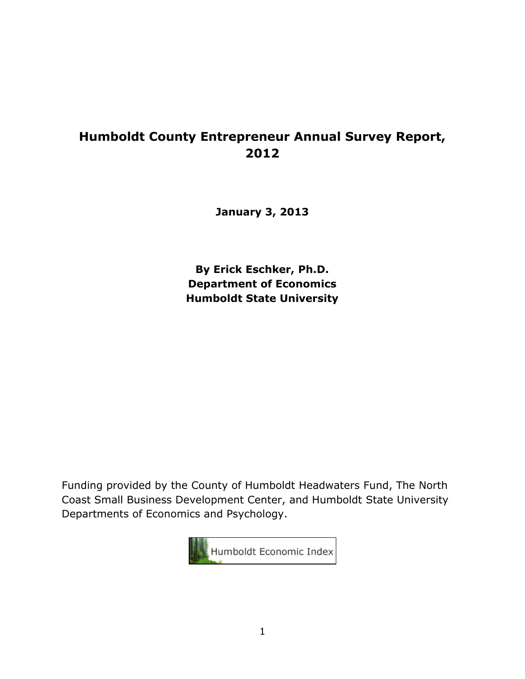# **Humboldt County Entrepreneur Annual Survey Report, 2012**

**January 3, 2013**

**By Erick Eschker, Ph.D. Department of Economics Humboldt State University**

Funding provided by the County of Humboldt Headwaters Fund, The North Coast Small Business Development Center, and Humboldt State University Departments of Economics and Psychology.

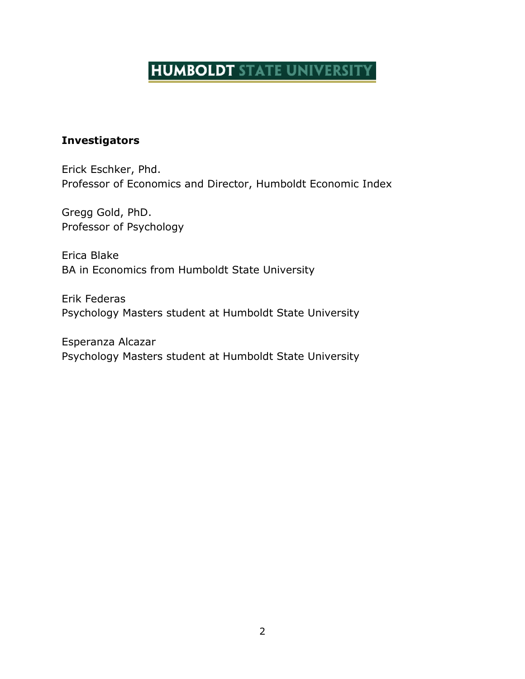# **HUMBOLDT STATE UNIVERSITY**

# <span id="page-1-0"></span>**Investigators**

Erick Eschker, Phd. Professor of Economics and Director, Humboldt Economic Index

Gregg Gold, PhD. Professor of Psychology

Erica Blake BA in Economics from Humboldt State University

Erik Federas Psychology Masters student at Humboldt State University

Esperanza Alcazar Psychology Masters student at Humboldt State University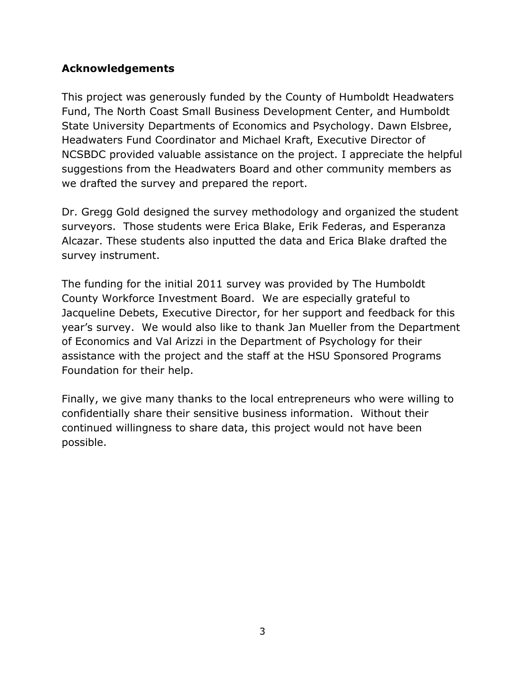# <span id="page-2-0"></span>**Acknowledgements**

This project was generously funded by the County of Humboldt Headwaters Fund, The North Coast Small Business Development Center, and Humboldt State University Departments of Economics and Psychology. Dawn Elsbree, Headwaters Fund Coordinator and Michael Kraft, Executive Director of NCSBDC provided valuable assistance on the project. I appreciate the helpful suggestions from the Headwaters Board and other community members as we drafted the survey and prepared the report.

Dr. Gregg Gold designed the survey methodology and organized the student surveyors. Those students were Erica Blake, Erik Federas, and Esperanza Alcazar. These students also inputted the data and Erica Blake drafted the survey instrument.

The funding for the initial 2011 survey was provided by The Humboldt County Workforce Investment Board. We are especially grateful to Jacqueline Debets, Executive Director, for her support and feedback for this year's survey. We would also like to thank Jan Mueller from the Department of Economics and Val Arizzi in the Department of Psychology for their assistance with the project and the staff at the HSU Sponsored Programs Foundation for their help.

Finally, we give many thanks to the local entrepreneurs who were willing to confidentially share their sensitive business information. Without their continued willingness to share data, this project would not have been possible.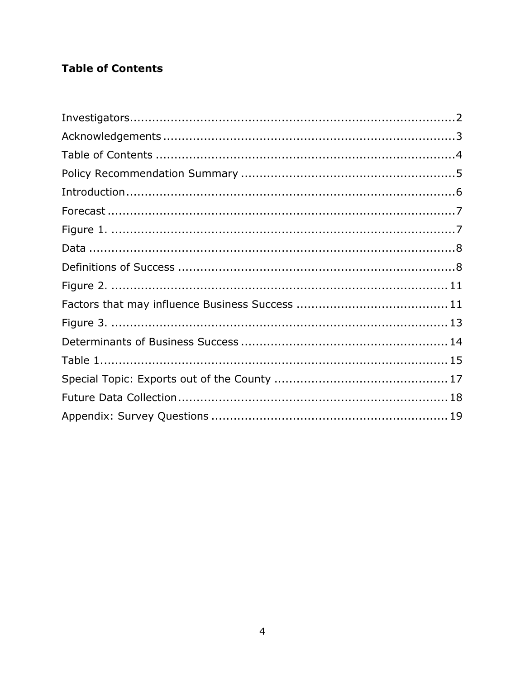# <span id="page-3-0"></span>**Table of Contents**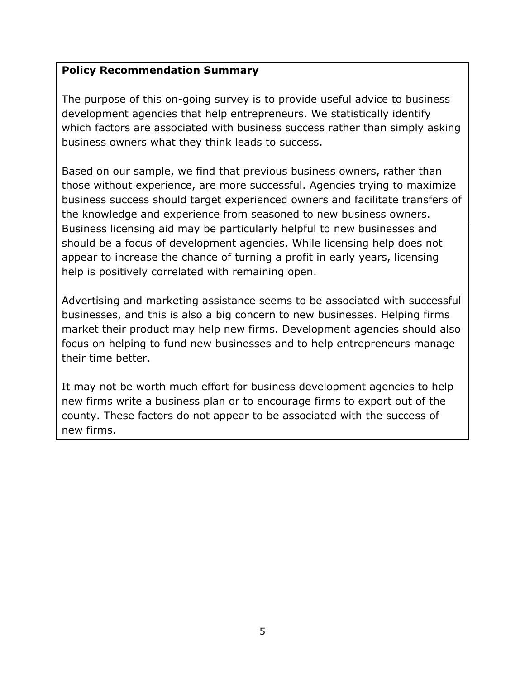# <span id="page-4-0"></span>**Policy Recommendation Summary**

The purpose of this on-going survey is to provide useful advice to business development agencies that help entrepreneurs. We statistically identify which factors are associated with business success rather than simply asking business owners what they think leads to success.

Based on our sample, we find that previous business owners, rather than those without experience, are more successful. Agencies trying to maximize business success should target experienced owners and facilitate transfers of the knowledge and experience from seasoned to new business owners. Business licensing aid may be particularly helpful to new businesses and should be a focus of development agencies. While licensing help does not appear to increase the chance of turning a profit in early years, licensing help is positively correlated with remaining open.

Advertising and marketing assistance seems to be associated with successful businesses, and this is also a big concern to new businesses. Helping firms market their product may help new firms. Development agencies should also focus on helping to fund new businesses and to help entrepreneurs manage their time better.

It may not be worth much effort for business development agencies to help new firms write a business plan or to encourage firms to export out of the county. These factors do not appear to be associated with the success of new firms.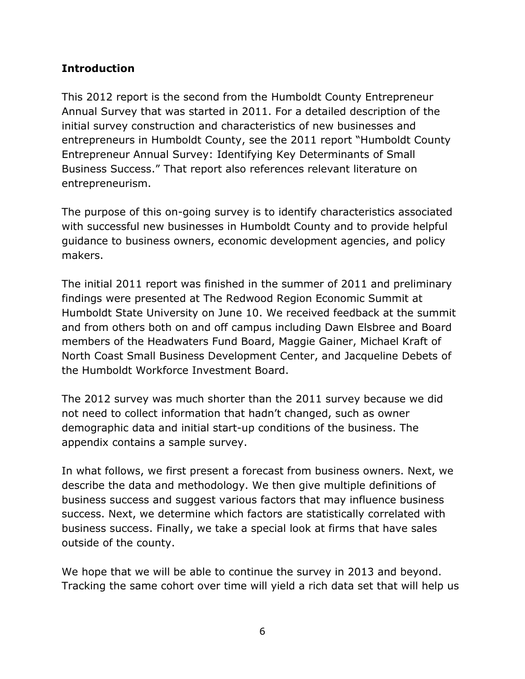# <span id="page-5-0"></span>**Introduction**

This 2012 report is the second from the Humboldt County Entrepreneur Annual Survey that was started in 2011. For a detailed description of the initial survey construction and characteristics of new businesses and entrepreneurs in Humboldt County, see the 2011 report "Humboldt County Entrepreneur Annual Survey: Identifying Key Determinants of Small Business Success." That report also references relevant literature on entrepreneurism.

The purpose of this on-going survey is to identify characteristics associated with successful new businesses in Humboldt County and to provide helpful guidance to business owners, economic development agencies, and policy makers.

The initial 2011 report was finished in the summer of 2011 and preliminary findings were presented at The Redwood Region Economic Summit at Humboldt State University on June 10. We received feedback at the summit and from others both on and off campus including Dawn Elsbree and Board members of the Headwaters Fund Board, Maggie Gainer, Michael Kraft of North Coast Small Business Development Center, and Jacqueline Debets of the Humboldt Workforce Investment Board.

The 2012 survey was much shorter than the 2011 survey because we did not need to collect information that hadn't changed, such as owner demographic data and initial start-up conditions of the business. The appendix contains a sample survey.

In what follows, we first present a forecast from business owners. Next, we describe the data and methodology. We then give multiple definitions of business success and suggest various factors that may influence business success. Next, we determine which factors are statistically correlated with business success. Finally, we take a special look at firms that have sales outside of the county.

We hope that we will be able to continue the survey in 2013 and beyond. Tracking the same cohort over time will yield a rich data set that will help us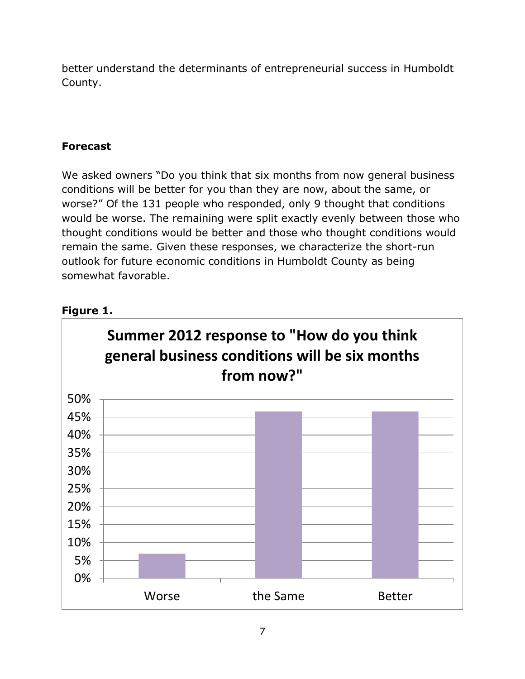better understand the determinants of entrepreneurial success in Humboldt County.

# <span id="page-6-0"></span>**Forecast**

We asked owners "Do you think that six months from now general business conditions will be better for you than they are now, about the same, or worse?" Of the 131 people who responded, only 9 thought that conditions would be worse. The remaining were split exactly evenly between those who thought conditions would be better and those who thought conditions would remain the same. Given these responses, we characterize the short-run outlook for future economic conditions in Humboldt County as being somewhat favorable.

# <span id="page-6-1"></span>**Figure 1.**

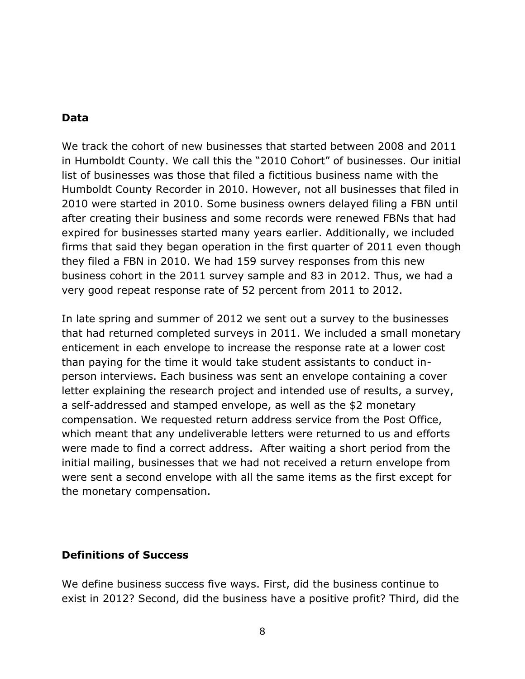#### <span id="page-7-0"></span>**Data**

We track the cohort of new businesses that started between 2008 and 2011 in Humboldt County. We call this the "2010 Cohort" of businesses. Our initial list of businesses was those that filed a fictitious business name with the Humboldt County Recorder in 2010. However, not all businesses that filed in 2010 were started in 2010. Some business owners delayed filing a FBN until after creating their business and some records were renewed FBNs that had expired for businesses started many years earlier. Additionally, we included firms that said they began operation in the first quarter of 2011 even though they filed a FBN in 2010. We had 159 survey responses from this new business cohort in the 2011 survey sample and 83 in 2012. Thus, we had a very good repeat response rate of 52 percent from 2011 to 2012.

In late spring and summer of 2012 we sent out a survey to the businesses that had returned completed surveys in 2011. We included a small monetary enticement in each envelope to increase the response rate at a lower cost than paying for the time it would take student assistants to conduct inperson interviews. Each business was sent an envelope containing a cover letter explaining the research project and intended use of results, a survey, a self-addressed and stamped envelope, as well as the \$2 monetary compensation. We requested return address service from the Post Office, which meant that any undeliverable letters were returned to us and efforts were made to find a correct address. After waiting a short period from the initial mailing, businesses that we had not received a return envelope from were sent a second envelope with all the same items as the first except for the monetary compensation.

# <span id="page-7-1"></span>**Definitions of Success**

We define business success five ways. First, did the business continue to exist in 2012? Second, did the business have a positive profit? Third, did the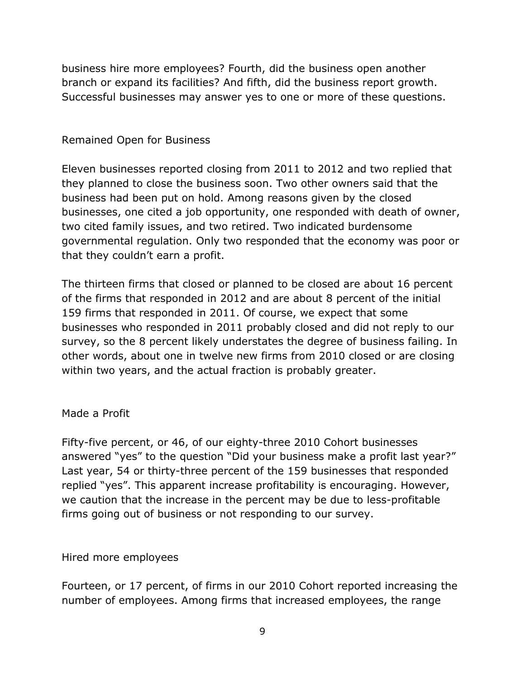business hire more employees? Fourth, did the business open another branch or expand its facilities? And fifth, did the business report growth. Successful businesses may answer yes to one or more of these questions.

# Remained Open for Business

Eleven businesses reported closing from 2011 to 2012 and two replied that they planned to close the business soon. Two other owners said that the business had been put on hold. Among reasons given by the closed businesses, one cited a job opportunity, one responded with death of owner, two cited family issues, and two retired. Two indicated burdensome governmental regulation. Only two responded that the economy was poor or that they couldn't earn a profit.

The thirteen firms that closed or planned to be closed are about 16 percent of the firms that responded in 2012 and are about 8 percent of the initial 159 firms that responded in 2011. Of course, we expect that some businesses who responded in 2011 probably closed and did not reply to our survey, so the 8 percent likely understates the degree of business failing. In other words, about one in twelve new firms from 2010 closed or are closing within two years, and the actual fraction is probably greater.

#### Made a Profit

Fifty-five percent, or 46, of our eighty-three 2010 Cohort businesses answered "yes" to the question "Did your business make a profit last year?" Last year, 54 or thirty-three percent of the 159 businesses that responded replied "yes". This apparent increase profitability is encouraging. However, we caution that the increase in the percent may be due to less-profitable firms going out of business or not responding to our survey.

#### Hired more employees

Fourteen, or 17 percent, of firms in our 2010 Cohort reported increasing the number of employees. Among firms that increased employees, the range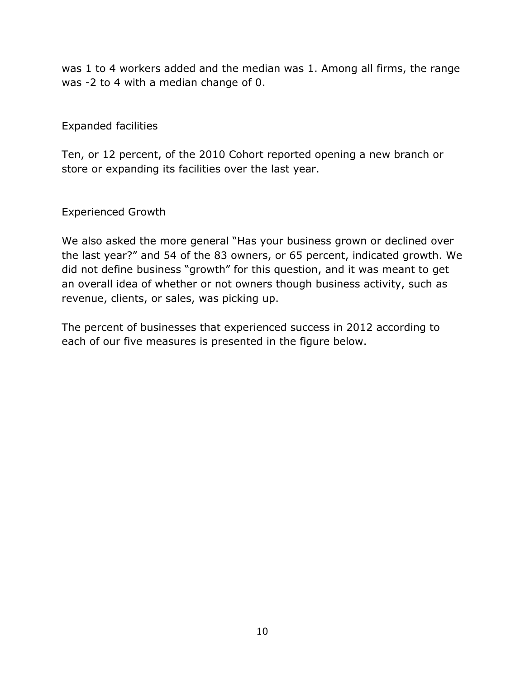was 1 to 4 workers added and the median was 1. Among all firms, the range was -2 to 4 with a median change of 0.

# Expanded facilities

Ten, or 12 percent, of the 2010 Cohort reported opening a new branch or store or expanding its facilities over the last year.

# Experienced Growth

We also asked the more general "Has your business grown or declined over the last year?" and 54 of the 83 owners, or 65 percent, indicated growth. We did not define business "growth" for this question, and it was meant to get an overall idea of whether or not owners though business activity, such as revenue, clients, or sales, was picking up.

The percent of businesses that experienced success in 2012 according to each of our five measures is presented in the figure below.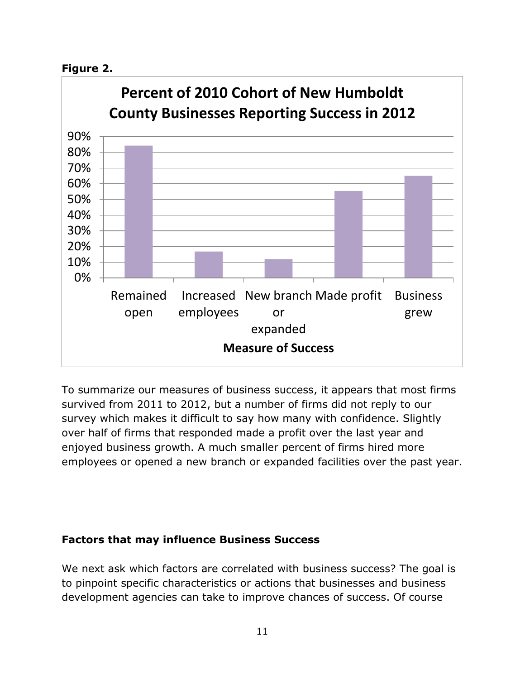<span id="page-10-0"></span>



To summarize our measures of business success, it appears that most firms survived from 2011 to 2012, but a number of firms did not reply to our survey which makes it difficult to say how many with confidence. Slightly over half of firms that responded made a profit over the last year and enjoyed business growth. A much smaller percent of firms hired more employees or opened a new branch or expanded facilities over the past year.

# <span id="page-10-1"></span>**Factors that may influence Business Success**

We next ask which factors are correlated with business success? The goal is to pinpoint specific characteristics or actions that businesses and business development agencies can take to improve chances of success. Of course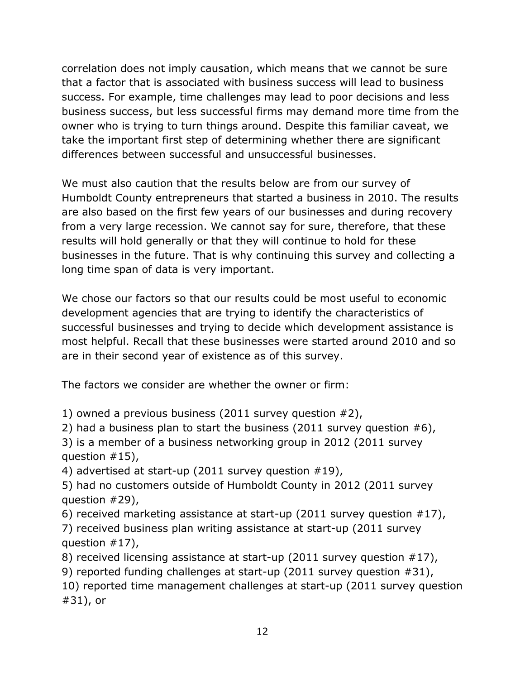correlation does not imply causation, which means that we cannot be sure that a factor that is associated with business success will lead to business success. For example, time challenges may lead to poor decisions and less business success, but less successful firms may demand more time from the owner who is trying to turn things around. Despite this familiar caveat, we take the important first step of determining whether there are significant differences between successful and unsuccessful businesses.

We must also caution that the results below are from our survey of Humboldt County entrepreneurs that started a business in 2010. The results are also based on the first few years of our businesses and during recovery from a very large recession. We cannot say for sure, therefore, that these results will hold generally or that they will continue to hold for these businesses in the future. That is why continuing this survey and collecting a long time span of data is very important.

We chose our factors so that our results could be most useful to economic development agencies that are trying to identify the characteristics of successful businesses and trying to decide which development assistance is most helpful. Recall that these businesses were started around 2010 and so are in their second year of existence as of this survey.

The factors we consider are whether the owner or firm:

1) owned a previous business (2011 survey question #2),

2) had a business plan to start the business (2011 survey question #6),

3) is a member of a business networking group in 2012 (2011 survey question  $#15$ ),

4) advertised at start-up (2011 survey question #19),

5) had no customers outside of Humboldt County in 2012 (2011 survey question #29),

6) received marketing assistance at start-up (2011 survey question #17),

7) received business plan writing assistance at start-up (2011 survey question #17),

8) received licensing assistance at start-up (2011 survey question #17),

9) reported funding challenges at start-up (2011 survey question #31),

10) reported time management challenges at start-up (2011 survey question #31), or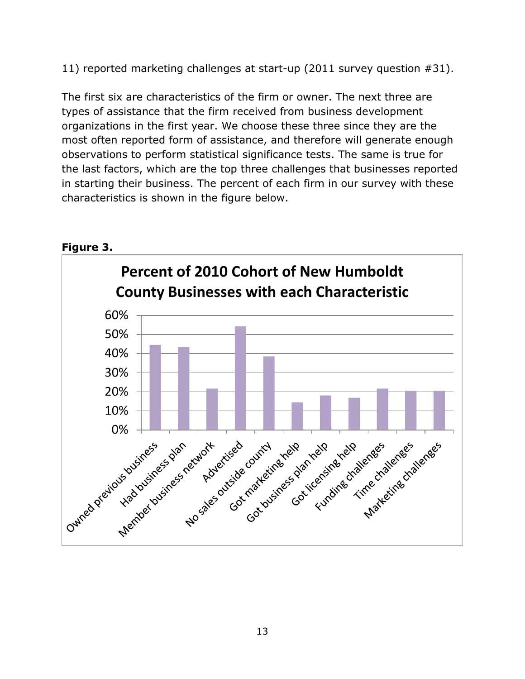11) reported marketing challenges at start-up (2011 survey question #31).

The first six are characteristics of the firm or owner. The next three are types of assistance that the firm received from business development organizations in the first year. We choose these three since they are the most often reported form of assistance, and therefore will generate enough observations to perform statistical significance tests. The same is true for the last factors, which are the top three challenges that businesses reported in starting their business. The percent of each firm in our survey with these characteristics is shown in the figure below.



#### <span id="page-12-0"></span>**Figure 3.**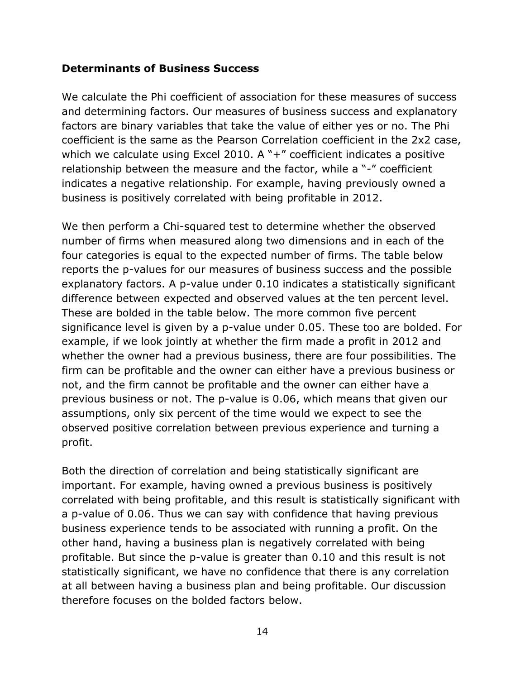#### <span id="page-13-0"></span>**Determinants of Business Success**

We calculate the Phi coefficient of association for these measures of success and determining factors. Our measures of business success and explanatory factors are binary variables that take the value of either yes or no. The Phi coefficient is the same as the Pearson Correlation coefficient in the 2x2 case, which we calculate using Excel 2010. A "+" coefficient indicates a positive relationship between the measure and the factor, while a "-" coefficient indicates a negative relationship. For example, having previously owned a business is positively correlated with being profitable in 2012.

We then perform a Chi-squared test to determine whether the observed number of firms when measured along two dimensions and in each of the four categories is equal to the expected number of firms. The table below reports the p-values for our measures of business success and the possible explanatory factors. A p-value under 0.10 indicates a statistically significant difference between expected and observed values at the ten percent level. These are bolded in the table below. The more common five percent significance level is given by a p-value under 0.05. These too are bolded. For example, if we look jointly at whether the firm made a profit in 2012 and whether the owner had a previous business, there are four possibilities. The firm can be profitable and the owner can either have a previous business or not, and the firm cannot be profitable and the owner can either have a previous business or not. The p-value is 0.06, which means that given our assumptions, only six percent of the time would we expect to see the observed positive correlation between previous experience and turning a profit.

Both the direction of correlation and being statistically significant are important. For example, having owned a previous business is positively correlated with being profitable, and this result is statistically significant with a p-value of 0.06. Thus we can say with confidence that having previous business experience tends to be associated with running a profit. On the other hand, having a business plan is negatively correlated with being profitable. But since the p-value is greater than 0.10 and this result is not statistically significant, we have no confidence that there is any correlation at all between having a business plan and being profitable. Our discussion therefore focuses on the bolded factors below.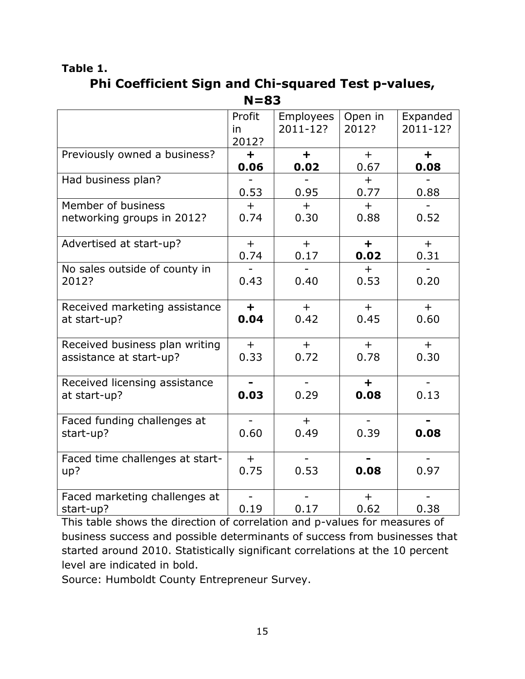# <span id="page-14-0"></span>**Table 1. Phi Coefficient Sign and Chi-squared Test p-values, N=83**

|                                 | Profit<br>in | <b>Employees</b><br>2011-12? | Open in<br>2012? | Expanded<br>2011-12? |
|---------------------------------|--------------|------------------------------|------------------|----------------------|
|                                 | 2012?        |                              |                  |                      |
| Previously owned a business?    | ÷.           | $\ddot{}$                    | $+$              | $\ddot{}$            |
|                                 | 0.06         | 0.02                         | 0.67             | 0.08                 |
| Had business plan?              |              |                              | $+$              |                      |
|                                 | 0.53         | 0.95                         | 0.77             | 0.88                 |
| Member of business              | $+$          | $+$                          | $+$              |                      |
| networking groups in 2012?      | 0.74         | 0.30                         | 0.88             | 0.52                 |
| Advertised at start-up?         | $+$          | $+$                          | $\ddagger$       | $+$                  |
|                                 | 0.74         | 0.17                         | 0.02             | 0.31                 |
| No sales outside of county in   |              |                              | $+$              |                      |
| 2012?                           | 0.43         | 0.40                         | 0.53             | 0.20                 |
|                                 |              |                              |                  |                      |
| Received marketing assistance   | $+$          | $+$                          | $+$              | $+$                  |
| at start-up?                    | 0.04         | 0.42                         | 0.45             | 0.60                 |
|                                 |              |                              |                  |                      |
| Received business plan writing  | $+$          | $+$                          | $+$              | $+$                  |
| assistance at start-up?         | 0.33         | 0.72                         | 0.78             | 0.30                 |
|                                 |              |                              |                  |                      |
| Received licensing assistance   |              | $\overline{\phantom{0}}$     | $+$              |                      |
| at start-up?                    | 0.03         | 0.29                         | 0.08             | 0.13                 |
|                                 |              |                              |                  |                      |
| Faced funding challenges at     |              | $+$                          |                  |                      |
| start-up?                       | 0.60         | 0.49                         | 0.39             | 0.08                 |
|                                 |              |                              |                  |                      |
| Faced time challenges at start- | $+$          |                              |                  |                      |
| up?                             | 0.75         | 0.53                         | 0.08             | 0.97                 |
|                                 |              |                              |                  |                      |
| Faced marketing challenges at   |              |                              | $+$              |                      |
| start-up?                       | 0.19         | 0.17                         | 0.62             | 0.38                 |

This table shows the direction of correlation and p-values for measures of business success and possible determinants of success from businesses that started around 2010. Statistically significant correlations at the 10 percent level are indicated in bold.

Source: Humboldt County Entrepreneur Survey.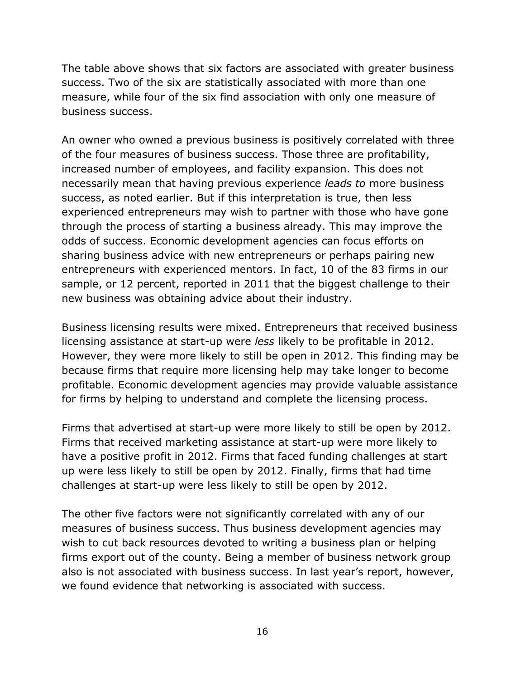The table above shows that six factors are associated with greater business success. Two of the six are statistically associated with more than one measure, while four of the six find association with only one measure of business success.

An owner who owned a previous business is positively correlated with three of the four measures of business success. Those three are profitability, increased number of employees, and facility expansion. This does not necessarily mean that having previous experience *leads to* more business success, as noted earlier. But if this interpretation is true, then less experienced entrepreneurs may wish to partner with those who have gone through the process of starting a business already. This may improve the odds of success. Economic development agencies can focus efforts on sharing business advice with new entrepreneurs or perhaps pairing new entrepreneurs with experienced mentors. In fact, 10 of the 83 firms in our sample, or 12 percent, reported in 2011 that the biggest challenge to their new business was obtaining advice about their industry.

Business licensing results were mixed. Entrepreneurs that received business licensing assistance at start-up were *less* likely to be profitable in 2012. However, they were more likely to still be open in 2012. This finding may be because firms that require more licensing help may take longer to become profitable. Economic development agencies may provide valuable assistance for firms by helping to understand and complete the licensing process.

Firms that advertised at start-up were more likely to still be open by 2012. Firms that received marketing assistance at start-up were more likely to have a positive profit in 2012. Firms that faced funding challenges at start up were less likely to still be open by 2012. Finally, firms that had time challenges at start-up were less likely to still be open by 2012.

The other five factors were not significantly correlated with any of our measures of business success. Thus business development agencies may wish to cut back resources devoted to writing a business plan or helping firms export out of the county. Being a member of business network group also is not associated with business success. In last year's report, however, we found evidence that networking is associated with success.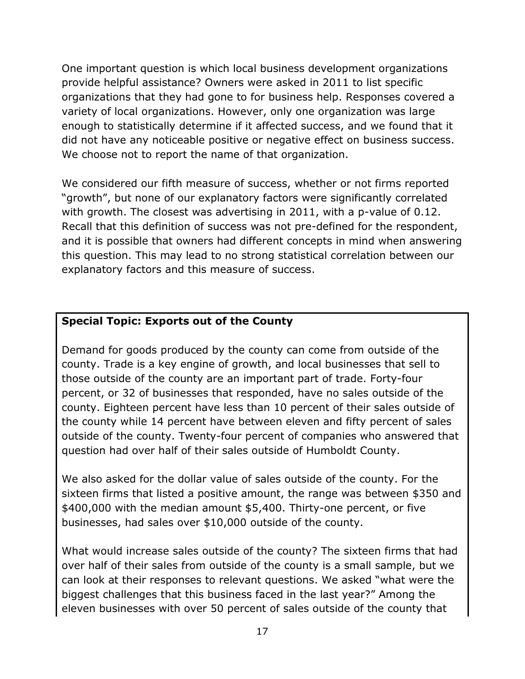One important question is which local business development organizations provide helpful assistance? Owners were asked in 2011 to list specific organizations that they had gone to for business help. Responses covered a variety of local organizations. However, only one organization was large enough to statistically determine if it affected success, and we found that it did not have any noticeable positive or negative effect on business success. We choose not to report the name of that organization.

We considered our fifth measure of success, whether or not firms reported "growth", but none of our explanatory factors were significantly correlated with growth. The closest was advertising in 2011, with a p-value of 0.12. Recall that this definition of success was not pre-defined for the respondent, and it is possible that owners had different concepts in mind when answering this question. This may lead to no strong statistical correlation between our explanatory factors and this measure of success.

# <span id="page-16-0"></span>**Special Topic: Exports out of the County**

Demand for goods produced by the county can come from outside of the county. Trade is a key engine of growth, and local businesses that sell to those outside of the county are an important part of trade. Forty-four percent, or 32 of businesses that responded, have no sales outside of the county. Eighteen percent have less than 10 percent of their sales outside of the county while 14 percent have between eleven and fifty percent of sales outside of the county. Twenty-four percent of companies who answered that question had over half of their sales outside of Humboldt County.

We also asked for the dollar value of sales outside of the county. For the sixteen firms that listed a positive amount, the range was between \$350 and \$400,000 with the median amount \$5,400. Thirty-one percent, or five businesses, had sales over \$10,000 outside of the county.

What would increase sales outside of the county? The sixteen firms that had over half of their sales from outside of the county is a small sample, but we can look at their responses to relevant questions. We asked "what were the biggest challenges that this business faced in the last year?" Among the eleven businesses with over 50 percent of sales outside of the county that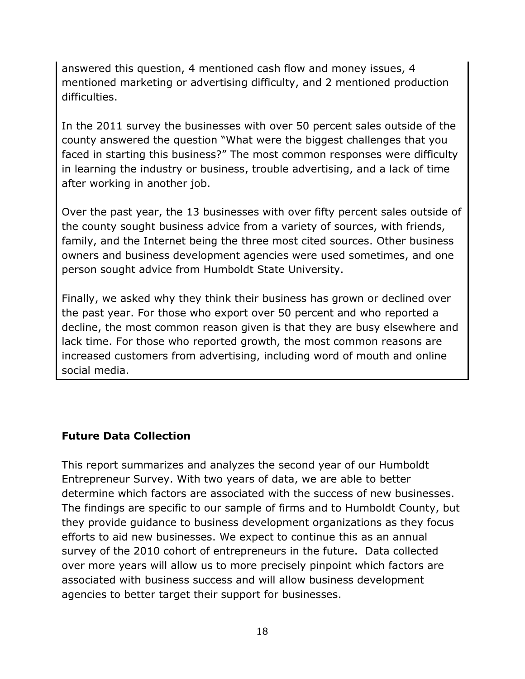answered this question, 4 mentioned cash flow and money issues, 4 mentioned marketing or advertising difficulty, and 2 mentioned production difficulties.

In the 2011 survey the businesses with over 50 percent sales outside of the county answered the question "What were the biggest challenges that you faced in starting this business?" The most common responses were difficulty in learning the industry or business, trouble advertising, and a lack of time after working in another job.

Over the past year, the 13 businesses with over fifty percent sales outside of the county sought business advice from a variety of sources, with friends, family, and the Internet being the three most cited sources. Other business owners and business development agencies were used sometimes, and one person sought advice from Humboldt State University.

Finally, we asked why they think their business has grown or declined over the past year. For those who export over 50 percent and who reported a decline, the most common reason given is that they are busy elsewhere and lack time. For those who reported growth, the most common reasons are increased customers from advertising, including word of mouth and online social media.

# <span id="page-17-0"></span>**Future Data Collection**

This report summarizes and analyzes the second year of our Humboldt Entrepreneur Survey. With two years of data, we are able to better determine which factors are associated with the success of new businesses. The findings are specific to our sample of firms and to Humboldt County, but they provide guidance to business development organizations as they focus efforts to aid new businesses. We expect to continue this as an annual survey of the 2010 cohort of entrepreneurs in the future. Data collected over more years will allow us to more precisely pinpoint which factors are associated with business success and will allow business development agencies to better target their support for businesses.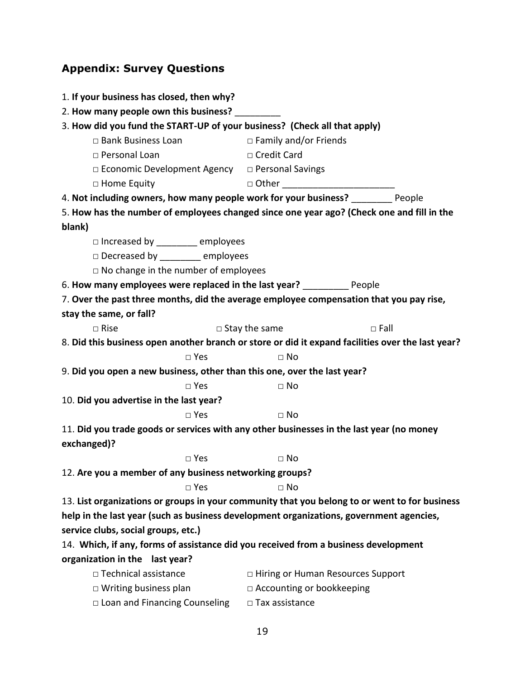# <span id="page-18-0"></span>**Appendix: Survey Questions**

| 1. If your business has closed, then why?                                           |                                                                                                   |  |  |
|-------------------------------------------------------------------------------------|---------------------------------------------------------------------------------------------------|--|--|
| 2. How many people own this business?                                               |                                                                                                   |  |  |
| 3. How did you fund the START-UP of your business? (Check all that apply)           |                                                                                                   |  |  |
| □ Bank Business Loan                                                                | $\Box$ Family and/or Friends                                                                      |  |  |
| □ Personal Loan                                                                     | □ Credit Card                                                                                     |  |  |
| □ Economic Development Agency □ Personal Savings                                    |                                                                                                   |  |  |
| □ Home Equity                                                                       | □ Other _____________________________                                                             |  |  |
| 4. Not including owners, how many people work for your business? People             |                                                                                                   |  |  |
|                                                                                     | 5. How has the number of employees changed since one year ago? (Check one and fill in the         |  |  |
| blank)                                                                              |                                                                                                   |  |  |
| □ Increased by _________ employees                                                  |                                                                                                   |  |  |
| Decreased by __________ employees                                                   |                                                                                                   |  |  |
| $\Box$ No change in the number of employees                                         |                                                                                                   |  |  |
| 6. How many employees were replaced in the last year? ____________ People           |                                                                                                   |  |  |
|                                                                                     | 7. Over the past three months, did the average employee compensation that you pay rise,           |  |  |
| stay the same, or fall?                                                             |                                                                                                   |  |  |
| $\Box$ Rise                                                                         | $\Box$ Stay the same<br>$\square$ Fall                                                            |  |  |
|                                                                                     | 8. Did this business open another branch or store or did it expand facilities over the last year? |  |  |
| $\square$ Yes                                                                       | $\Box$ No                                                                                         |  |  |
| 9. Did you open a new business, other than this one, over the last year?            |                                                                                                   |  |  |
| $\square$ Yes                                                                       | $\square$ No                                                                                      |  |  |
| 10. Did you advertise in the last year?                                             |                                                                                                   |  |  |
| $\Box$ Yes                                                                          | $\Box$ No                                                                                         |  |  |
|                                                                                     | 11. Did you trade goods or services with any other businesses in the last year (no money          |  |  |
| exchanged)?                                                                         |                                                                                                   |  |  |
| □ Yes                                                                               | $\Box$ No                                                                                         |  |  |
| 12. Are you a member of any business networking groups?                             |                                                                                                   |  |  |
| $\square$ Yes                                                                       | $\Box$ No                                                                                         |  |  |
|                                                                                     | 13. List organizations or groups in your community that you belong to or went to for business     |  |  |
|                                                                                     | help in the last year (such as business development organizations, government agencies,           |  |  |
| service clubs, social groups, etc.)                                                 |                                                                                                   |  |  |
| 14. Which, if any, forms of assistance did you received from a business development |                                                                                                   |  |  |
| organization in the last year?                                                      |                                                                                                   |  |  |
| □ Technical assistance                                                              | □ Hiring or Human Resources Support                                                               |  |  |
| $\Box$ Writing business plan                                                        | □ Accounting or bookkeeping                                                                       |  |  |
| $\Box$ Loan and Financing Counseling                                                | □ Tax assistance                                                                                  |  |  |
|                                                                                     |                                                                                                   |  |  |